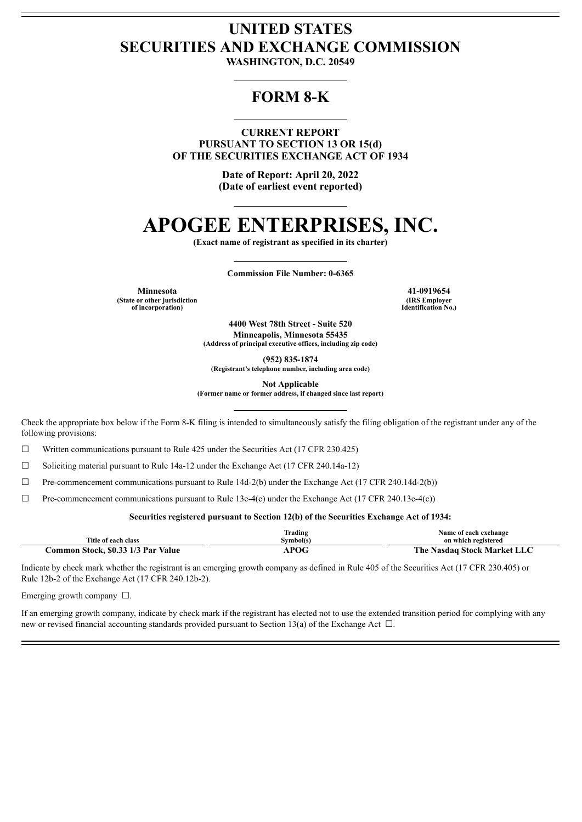## **UNITED STATES SECURITIES AND EXCHANGE COMMISSION**

**WASHINGTON, D.C. 20549**

### **FORM 8-K**

**CURRENT REPORT PURSUANT TO SECTION 13 OR 15(d) OF THE SECURITIES EXCHANGE ACT OF 1934**

> **Date of Report: April 20, 2022 (Date of earliest event reported)**

# **APOGEE ENTERPRISES, INC.**

**(Exact name of registrant as specified in its charter)**

**Commission File Number: 0-6365**

**Minnesota 41-0919654 (State or other jurisdiction of incorporation)**

**(IRS Employer Identification No.)**

**4400 West 78th Street - Suite 520 Minneapolis, Minnesota 55435 (Address of principal executive offices, including zip code)**

**(952) 835-1874**

**(Registrant's telephone number, including area code)**

**Not Applicable**

**(Former name or former address, if changed since last report)**

Check the appropriate box below if the Form 8-K filing is intended to simultaneously satisfy the filing obligation of the registrant under any of the following provisions:

 $\Box$  Written communications pursuant to Rule 425 under the Securities Act (17 CFR 230.425)

 $\Box$  Soliciting material pursuant to Rule 14a-12 under the Exchange Act (17 CFR 240.14a-12)

 $\Box$  Pre-commencement communications pursuant to Rule 14d-2(b) under the Exchange Act (17 CFR 240.14d-2(b))

 $\Box$  Pre-commencement communications pursuant to Rule 13e-4(c) under the Exchange Act (17 CFR 240.13e-4(c))

#### **Securities registered pursuant to Section 12(b) of the Securities Exchange Act of 1934:**

|                                    | Frading   | Name of each exchange       |
|------------------------------------|-----------|-----------------------------|
| Title of each class                | svmbol(s) | on which registered         |
| Common Stock, \$0.33 1/3 Par Value | POG       | The Nasdaq Stock Market LLC |

Indicate by check mark whether the registrant is an emerging growth company as defined in Rule 405 of the Securities Act (17 CFR 230.405) or Rule 12b-2 of the Exchange Act (17 CFR 240.12b-2).

Emerging growth company ☐.

If an emerging growth company, indicate by check mark if the registrant has elected not to use the extended transition period for complying with any new or revised financial accounting standards provided pursuant to Section 13(a) of the Exchange Act □.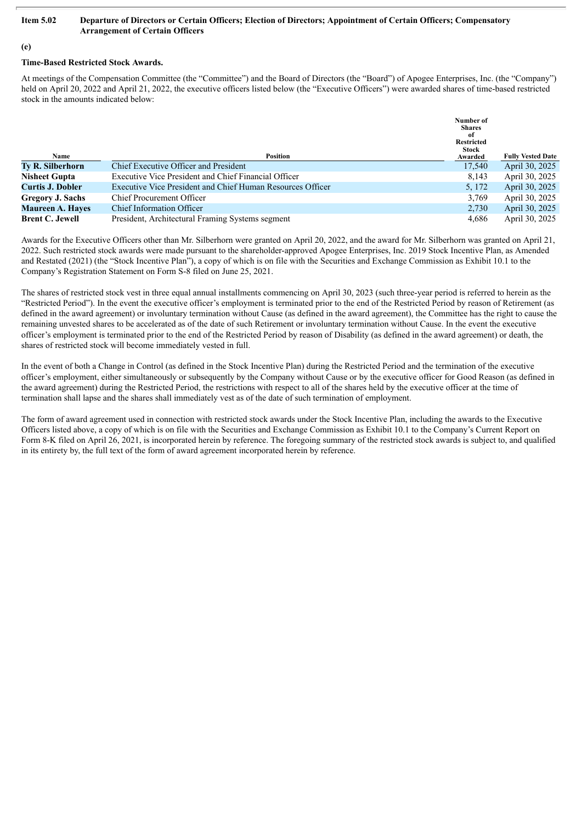#### Item 5.02 Departure of Directors or Certain Officers; Election of Directors; Appointment of Certain Officers; Compensatory **Arrangement of Certain Officers**

#### **(e)**

#### **Time-Based Restricted Stock Awards.**

At meetings of the Compensation Committee (the "Committee") and the Board of Directors (the "Board") of Apogee Enterprises, Inc. (the "Company") held on April 20, 2022 and April 21, 2022, the executive officers listed below (the "Executive Officers") were awarded shares of time-based restricted stock in the amounts indicated below:

|                         |                                                            | Number of<br><b>Shares</b><br>-of<br><b>Restricted</b><br><b>Stock</b> |                          |
|-------------------------|------------------------------------------------------------|------------------------------------------------------------------------|--------------------------|
| <b>Name</b>             | Position                                                   | Awarded                                                                | <b>Fully Vested Date</b> |
| <b>Ty R. Silberhorn</b> | Chief Executive Officer and President                      | 17,540                                                                 | April 30, 2025           |
| <b>Nisheet Gupta</b>    | Executive Vice President and Chief Financial Officer       | 8,143                                                                  | April 30, 2025           |
| <b>Curtis J. Dobler</b> | Executive Vice President and Chief Human Resources Officer | 5, 172                                                                 | April 30, 2025           |
| <b>Gregory J. Sachs</b> | <b>Chief Procurement Officer</b>                           | 3,769                                                                  | April 30, 2025           |
| <b>Maureen A. Hayes</b> | <b>Chief Information Officer</b>                           | 2,730                                                                  | April 30, 2025           |
| <b>Brent C. Jewell</b>  | President, Architectural Framing Systems segment           | 4.686                                                                  | April 30, 2025           |

Awards for the Executive Officers other than Mr. Silberhorn were granted on April 20, 2022, and the award for Mr. Silberhorn was granted on April 21, 2022. Such restricted stock awards were made pursuant to the shareholder-approved Apogee Enterprises, Inc. 2019 Stock Incentive Plan, as Amended and Restated (2021) (the "Stock Incentive Plan"), a copy of which is on file with the Securities and Exchange Commission as Exhibit 10.1 to the Company's Registration Statement on Form S-8 filed on June 25, 2021.

The shares of restricted stock vest in three equal annual installments commencing on April 30, 2023 (such three-year period is referred to herein as the "Restricted Period"). In the event the executive officer's employment is terminated prior to the end of the Restricted Period by reason of Retirement (as defined in the award agreement) or involuntary termination without Cause (as defined in the award agreement), the Committee has the right to cause the remaining unvested shares to be accelerated as of the date of such Retirement or involuntary termination without Cause. In the event the executive officer's employment is terminated prior to the end of the Restricted Period by reason of Disability (as defined in the award agreement) or death, the shares of restricted stock will become immediately vested in full.

In the event of both a Change in Control (as defined in the Stock Incentive Plan) during the Restricted Period and the termination of the executive officer's employment, either simultaneously or subsequently by the Company without Cause or by the executive officer for Good Reason (as defined in the award agreement) during the Restricted Period, the restrictions with respect to all of the shares held by the executive officer at the time of termination shall lapse and the shares shall immediately vest as of the date of such termination of employment.

The form of award agreement used in connection with restricted stock awards under the Stock Incentive Plan, including the awards to the Executive Officers listed above, a copy of which is on file with the Securities and Exchange Commission as Exhibit 10.1 to the Company's Current Report on Form 8-K filed on April 26, 2021, is incorporated herein by reference. The foregoing summary of the restricted stock awards is subject to, and qualified in its entirety by, the full text of the form of award agreement incorporated herein by reference.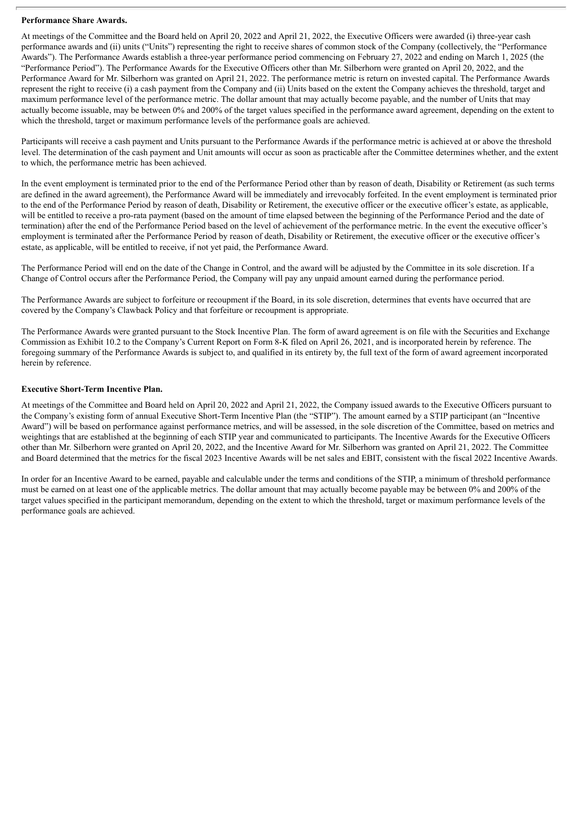#### **Performance Share Awards.**

At meetings of the Committee and the Board held on April 20, 2022 and April 21, 2022, the Executive Officers were awarded (i) three-year cash performance awards and (ii) units ("Units") representing the right to receive shares of common stock of the Company (collectively, the "Performance Awards"). The Performance Awards establish a three-year performance period commencing on February 27, 2022 and ending on March 1, 2025 (the "Performance Period"). The Performance Awards for the Executive Officers other than Mr. Silberhorn were granted on April 20, 2022, and the Performance Award for Mr. Silberhorn was granted on April 21, 2022. The performance metric is return on invested capital. The Performance Awards represent the right to receive (i) a cash payment from the Company and (ii) Units based on the extent the Company achieves the threshold, target and maximum performance level of the performance metric. The dollar amount that may actually become payable, and the number of Units that may actually become issuable, may be between 0% and 200% of the target values specified in the performance award agreement, depending on the extent to which the threshold, target or maximum performance levels of the performance goals are achieved.

Participants will receive a cash payment and Units pursuant to the Performance Awards if the performance metric is achieved at or above the threshold level. The determination of the cash payment and Unit amounts will occur as soon as practicable after the Committee determines whether, and the extent to which, the performance metric has been achieved.

In the event employment is terminated prior to the end of the Performance Period other than by reason of death, Disability or Retirement (as such terms are defined in the award agreement), the Performance Award will be immediately and irrevocably forfeited. In the event employment is terminated prior to the end of the Performance Period by reason of death, Disability or Retirement, the executive officer or the executive officer's estate, as applicable, will be entitled to receive a pro-rata payment (based on the amount of time elapsed between the beginning of the Performance Period and the date of termination) after the end of the Performance Period based on the level of achievement of the performance metric. In the event the executive officer's employment is terminated after the Performance Period by reason of death, Disability or Retirement, the executive officer or the executive officer's estate, as applicable, will be entitled to receive, if not yet paid, the Performance Award.

The Performance Period will end on the date of the Change in Control, and the award will be adjusted by the Committee in its sole discretion. If a Change of Control occurs after the Performance Period, the Company will pay any unpaid amount earned during the performance period.

The Performance Awards are subject to forfeiture or recoupment if the Board, in its sole discretion, determines that events have occurred that are covered by the Company's Clawback Policy and that forfeiture or recoupment is appropriate.

The Performance Awards were granted pursuant to the Stock Incentive Plan. The form of award agreement is on file with the Securities and Exchange Commission as Exhibit 10.2 to the Company's Current Report on Form 8-K filed on April 26, 2021, and is incorporated herein by reference. The foregoing summary of the Performance Awards is subject to, and qualified in its entirety by, the full text of the form of award agreement incorporated herein by reference.

#### **Executive Short-Term Incentive Plan.**

At meetings of the Committee and Board held on April 20, 2022 and April 21, 2022, the Company issued awards to the Executive Officers pursuant to the Company's existing form of annual Executive Short-Term Incentive Plan (the "STIP"). The amount earned by a STIP participant (an "Incentive Award") will be based on performance against performance metrics, and will be assessed, in the sole discretion of the Committee, based on metrics and weightings that are established at the beginning of each STIP year and communicated to participants. The Incentive Awards for the Executive Officers other than Mr. Silberhorn were granted on April 20, 2022, and the Incentive Award for Mr. Silberhorn was granted on April 21, 2022. The Committee and Board determined that the metrics for the fiscal 2023 Incentive Awards will be net sales and EBIT, consistent with the fiscal 2022 Incentive Awards.

In order for an Incentive Award to be earned, payable and calculable under the terms and conditions of the STIP, a minimum of threshold performance must be earned on at least one of the applicable metrics. The dollar amount that may actually become payable may be between 0% and 200% of the target values specified in the participant memorandum, depending on the extent to which the threshold, target or maximum performance levels of the performance goals are achieved.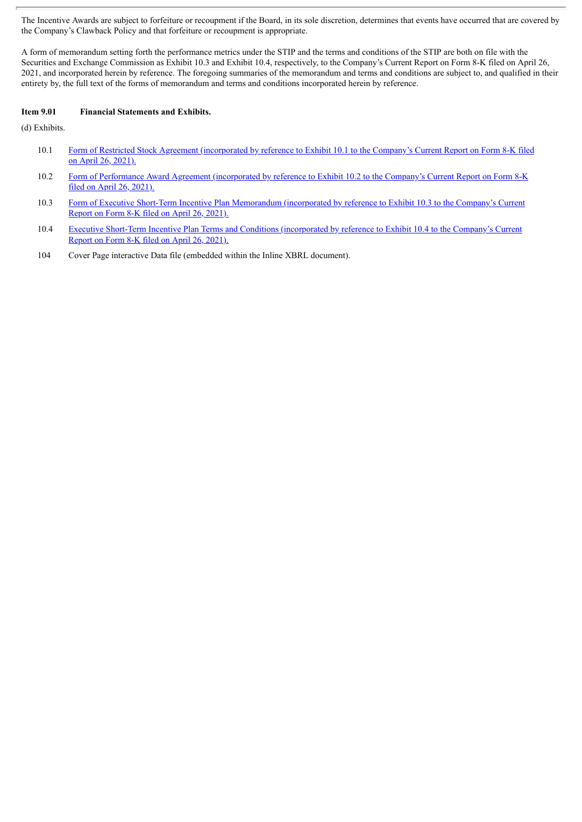The Incentive Awards are subject to forfeiture or recoupment if the Board, in its sole discretion, determines that events have occurred that are covered by the Company's Clawback Policy and that forfeiture or recoupment is appropriate.

A form of memorandum setting forth the performance metrics under the STIP and the terms and conditions of the STIP are both on file with the Securities and Exchange Commission as Exhibit 10.3 and Exhibit 10.4, respectively, to the Company's Current Report on Form 8-K filed on April 26, 2021, and incorporated herein by reference. The foregoing summaries of the memorandum and terms and conditions are subject to, and qualified in their entirety by, the full text of the forms of memorandum and terms and conditions incorporated herein by reference.

#### **Item 9.01 Financial Statements and Exhibits.**

(d) Exhibits.

- 10.1 Form of Restricted Stock Agreement [\(incorporated](http://www.sec.gov/Archives/edgar/data/6845/000119312521131593/d173939dex101.htm) by reference to Exhibit 10.1 to the Company's Current Report on Form 8-K filed on April 26, 2021).
- 10.2 Form of Performance Award Agreement [\(incorporated](http://www.sec.gov/Archives/edgar/data/6845/000119312521131593/d173939dex102.htm) by reference to Exhibit 10.2 to the Company's Current Report on Form 8-K filed on April 26, 2021).
- 10.3 Form of Executive Short-Term Incentive Plan [Memorandum](http://www.sec.gov/Archives/edgar/data/6845/000119312521131593/d173939dex103.htm) (incorporated by reference to Exhibit 10.3 to the Company's Current Report on Form 8-K filed on April 26, 2021).
- 10.4 Executive Short-Term Incentive Plan Terms and Conditions [\(incorporated](http://www.sec.gov/Archives/edgar/data/6845/000119312521131593/d173939dex104.htm) by reference to Exhibit 10.4 to the Company's Current Report on Form 8-K filed on April 26, 2021).
- 104 Cover Page interactive Data file (embedded within the Inline XBRL document).